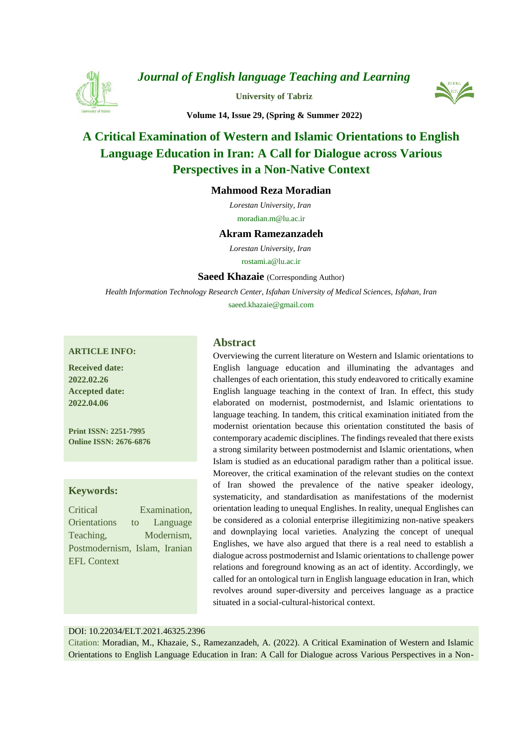

*[Journal of English language Teaching and Learning](https://elt.tabrizu.ac.ir/)*

**[University of Tabriz](https://tabrizu.ac.ir/)**



**Volume 14, Issue 29, (Spring & Summer 2022)**

# **[A Critical Examination of Western and Islamic Orientations to English](https://elt.tabrizu.ac.ir/article_14454.html)  Language Education in Iran: [A Call for Dialogue across Various](https://elt.tabrizu.ac.ir/article_14454.html)  [Perspectives in a Non-Native Context](https://elt.tabrizu.ac.ir/article_14454.html)**

## **Mahmood Reza Moradian**

*Lorestan University, Iran*  moradian.m@lu.ac.ir

#### **Akram Ramezanzadeh**

*Lorestan University, Iran* 

rostami.a@lu.ac.ir

**[Saeed Khazaie](https://www.orcid.org/https:/orcid.org/00)** (Corresponding Author)

*Health Information Technology Research Center, Isfahan University of Medical Sciences, Isfahan, Iran* saeed.khazaie@gmail.com

#### **ARTICLE INFO:**

**Received date: 2022.02.26 Accepted date: 2022.04.06**

**Print ISSN: 2251-7995 Online ISSN: 2676-6876**

#### **Keywords:**

Critical Examination, Orientations to Language Teaching, Modernism, Postmodernism, Islam, Iranian EFL Context

### **Abstract**

Overviewing the current literature on Western and Islamic orientations to English language education and illuminating the advantages and challenges of each orientation, this study endeavored to critically examine English language teaching in the context of Iran. In effect, this study elaborated on modernist, postmodernist, and Islamic orientations to language teaching. In tandem, this critical examination initiated from the modernist orientation because this orientation constituted the basis of contemporary academic disciplines. The findings revealed that there exists a strong similarity between postmodernist and Islamic orientations, when Islam is studied as an educational paradigm rather than a political issue. Moreover, the critical examination of the relevant studies on the context of Iran showed the prevalence of the native speaker ideology, systematicity, and standardisation as manifestations of the modernist orientation leading to unequal Englishes. In reality, unequal Englishes can be considered as a colonial enterprise illegitimizing non-native speakers and downplaying local varieties. Analyzing the concept of unequal Englishes, we have also argued that there is a real need to establish a dialogue across postmodernist and Islamic orientations to challenge power relations and foreground knowing as an act of identity. Accordingly, we called for an ontological turn in English language education in Iran, which revolves around super-diversity and perceives language as a practice situated in a social-cultural-historical context.

#### DOI: 10.22034/ELT.2021.46325.2396

Citation: Moradian, M., Khazaie, S., Ramezanzadeh, A. (2022). A Critical Examination of Western and Islamic Orientations to English Language Education in Iran: A Call for Dialogue across Various Perspectives in a Non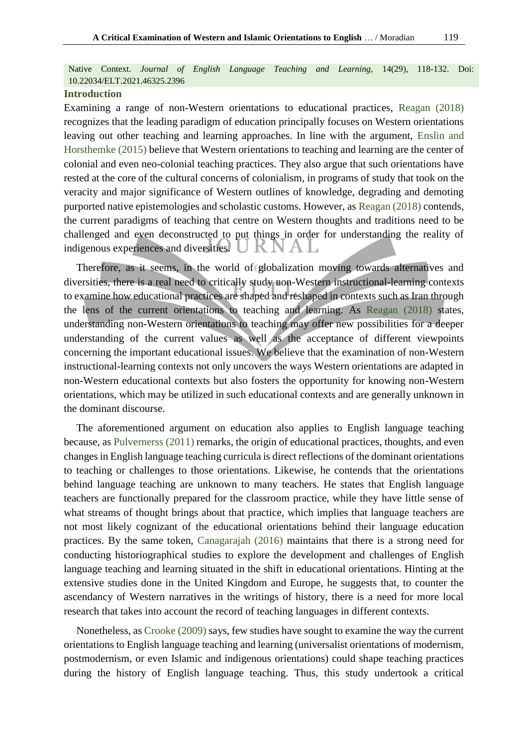Native Context. *Journal of English Language Teaching and Learning,* 14(29), 118-132. Doi: 10.22034/ELT.2021.46325.2396

## **Introduction**

Examining a range of non-Western orientations to educational practices, [Reagan \(2018\)](#page-13-0) recognizes that the leading paradigm of education principally focuses on Western orientations leaving out other teaching and learning approaches. In line with the argument, [Enslin and](#page-12-0)  [Horsthemke \(2015\)](#page-12-0) believe that Western orientations to teaching and learning are the center of colonial and even neo-colonial teaching practices. They also argue that such orientations have rested at the core of the cultural concerns of colonialism, in programs of study that took on the veracity and major significance of Western outlines of knowledge, degrading and demoting purported native epistemologies and scholastic customs. However, as [Reagan \(2018\)](#page-13-0) contends, the current paradigms of teaching that centre on Western thoughts and traditions need to be challenged and even deconstructed to put things in order for understanding the reality of indigenous experiences and diversities. K I A La

Therefore, as it seems, in the world of globalization moving towards alternatives and diversities, there is a real need to critically study non-Western instructional-learning contexts to examine how educational practices are shaped and reshaped in contexts such as Iran through the lens of the current orientations to teaching and learning. As [Reagan \(2018\)](#page-13-0) states, understanding non-Western orientations to teaching may offer new possibilities for a deeper understanding of the current values as well as the acceptance of different viewpoints concerning the important educational issues. We believe that the examination of non-Western instructional-learning contexts not only uncovers the ways Western orientations are adapted in non-Western educational contexts but also fosters the opportunity for knowing non-Western orientations, which may be utilized in such educational contexts and are generally unknown in the dominant discourse.

The aforementioned argument on education also applies to English language teaching because, as [Pulvernerss \(2011\)](#page-13-1) remarks, the origin of educational practices, thoughts, and even changes in English language teaching curricula is direct reflections of the dominant orientations to teaching or challenges to those orientations. Likewise, he contends that the orientations behind language teaching are unknown to many teachers. He states that English language teachers are functionally prepared for the classroom practice, while they have little sense of what streams of thought brings about that practice, which implies that language teachers are not most likely cognizant of the educational orientations behind their language education practices. By the same token, [Canagarajah \(2016\)](#page-12-1) maintains that there is a strong need for conducting historiographical studies to explore the development and challenges of English language teaching and learning situated in the shift in educational orientations. Hinting at the extensive studies done in the United Kingdom and Europe, he suggests that, to counter the ascendancy of Western narratives in the writings of history, there is a need for more local research that takes into account the record of teaching languages in different contexts.

Nonetheless, as [Crooke \(2009\)](#page-12-2) says, few studies have sought to examine the way the current orientations to English language teaching and learning (universalist orientations of modernism, postmodernism, or even Islamic and indigenous orientations) could shape teaching practices during the history of English language teaching. Thus, this study undertook a critical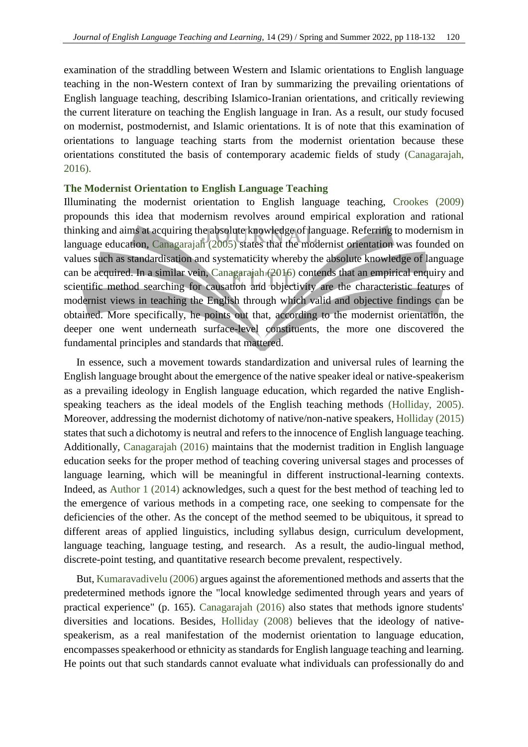examination of the straddling between Western and Islamic orientations to English language teaching in the non-Western context of Iran by summarizing the prevailing orientations of English language teaching, describing Islamico-Iranian orientations, and critically reviewing the current literature on teaching the English language in Iran. As a result, our study focused on modernist, postmodernist, and Islamic orientations. It is of note that this examination of orientations to language teaching starts from the modernist orientation because these orientations constituted the basis of contemporary academic fields of study [\(Canagarajah,](#page-12-1)  [2016\)](#page-12-1).

## **The Modernist Orientation to English Language Teaching**

Illuminating the modernist orientation to English language teaching, [Crookes \(2009\)](#page-12-2) propounds this idea that modernism revolves around empirical exploration and rational thinking and aims at acquiring the absolute knowledge of language. Referring to modernism in language education, [Canagarajah \(2005\)](#page-12-3) states that the modernist orientation was founded on values such as standardisation and systematicity whereby the absolute knowledge of language can be acquired. In a similar vein, [Canagarajah \(2016\)](#page-12-1) contends that an empirical enquiry and scientific method searching for causation and objectivity are the characteristic features of modernist views in teaching the English through which valid and objective findings can be obtained. More specifically, he points out that, according to the modernist orientation, the deeper one went underneath surface-level constituents, the more one discovered the fundamental principles and standards that mattered.

In essence, such a movement towards standardization and universal rules of learning the English language brought about the emergence of the native speaker ideal or native-speakerism as a prevailing ideology in English language education, which regarded the native Englishspeaking teachers as the ideal models of the English teaching methods [\(Holliday, 2005\)](#page-12-4). Moreover, addressing the modernist dichotomy of native/non-native speakers[, Holliday \(2015\)](#page-12-5) states that such a dichotomy is neutral and refers to the innocence of English language teaching. Additionally, [Canagarajah \(2016\)](#page-12-1) maintains that the modernist tradition in English language education seeks for the proper method of teaching covering universal stages and processes of language learning, which will be meaningful in different instructional-learning contexts. Indeed, as Author 1 (2014) acknowledges, such a quest for the best method of teaching led to the emergence of various methods in a competing race, one seeking to compensate for the deficiencies of the other. As the concept of the method seemed to be ubiquitous, it spread to different areas of applied linguistics, including syllabus design, curriculum development, language teaching, language testing, and research. As a result, the audio-lingual method, discrete-point testing, and quantitative research become prevalent, respectively.

But, [Kumaravadivelu \(2006\)](#page-13-2) argues against the aforementioned methods and asserts that the predetermined methods ignore the "local knowledge sedimented through years and years of practical experience" (p. 165). [Canagarajah \(2016\)](#page-12-1) also states that methods ignore students' diversities and locations. Besides, [Holliday \(2008\)](#page-12-6) believes that the ideology of nativespeakerism, as a real manifestation of the modernist orientation to language education, encompasses speakerhood or ethnicity as standards for English language teaching and learning. He points out that such standards cannot evaluate what individuals can professionally do and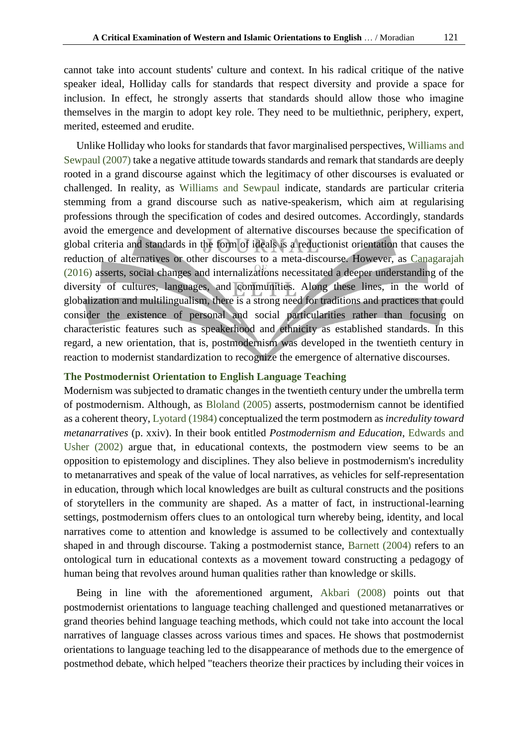cannot take into account students' culture and context. In his radical critique of the native speaker ideal, Holliday calls for standards that respect diversity and provide a space for inclusion. In effect, he strongly asserts that standards should allow those who imagine themselves in the margin to adopt key role. They need to be multiethnic, periphery, expert, merited, esteemed and erudite.

Unlike Holliday who looks for standards that favor marginalised perspectives, [Williams and](#page-14-0)  [Sewpaul \(2007\)](#page-14-0) take a negative attitude towards standards and remark that standards are deeply rooted in a grand discourse against which the legitimacy of other discourses is evaluated or challenged. In reality, as [Williams and Sewpaul](#page-14-0) indicate, standards are particular criteria stemming from a grand discourse such as native-speakerism, which aim at regularising professions through the specification of codes and desired outcomes. Accordingly, standards avoid the emergence and development of alternative discourses because the specification of global criteria and standards in the form of ideals is a reductionist orientation that causes the reduction of alternatives or other discourses to a meta-discourse. However, as [Canagarajah](#page-12-1)  [\(2016\)](#page-12-1) asserts, social changes and internalizations necessitated a deeper understanding of the diversity of cultures, languages, and communities. Along these lines, in the world of globalization and multilingualism, there is a strong need for traditions and practices that could consider the existence of personal and social particularities rather than focusing on characteristic features such as speakerhood and ethnicity as established standards. In this regard, a new orientation, that is, postmodernism was developed in the twentieth century in reaction to modernist standardization to recognize the emergence of alternative discourses.

## **The Postmodernist Orientation to English Language Teaching**

Modernism was subjected to dramatic changes in the twentieth century under the umbrella term of postmodernism. Although, as [Bloland \(2005\)](#page-12-7) asserts, postmodernism cannot be identified as a coherent theory, [Lyotard \(1984\)](#page-13-3) conceptualized the term postmodern as *incredulity toward metanarratives* (p. xxiv). In their book entitled *Postmodernism and Education*, [Edwards and](#page-12-8)  [Usher \(2002](#page-12-8)) argue that, in educational contexts, the postmodern view seems to be an opposition to epistemology and disciplines. They also believe in postmodernism's incredulity to metanarratives and speak of the value of local narratives, as vehicles for self-representation in education, through which local knowledges are built as cultural constructs and the positions of storytellers in the community are shaped. As a matter of fact, in instructional-learning settings, postmodernism offers clues to an ontological turn whereby being, identity, and local narratives come to attention and knowledge is assumed to be collectively and contextually shaped in and through discourse. Taking a postmodernist stance, [Barnett \(2004\)](#page-12-9) refers to an ontological turn in educational contexts as a movement toward constructing a pedagogy of human being that revolves around human qualities rather than knowledge or skills.

Being in line with the aforementioned argument, [Akbari \(2008\)](#page-12-10) points out that postmodernist orientations to language teaching challenged and questioned metanarratives or grand theories behind language teaching methods, which could not take into account the local narratives of language classes across various times and spaces. He shows that postmodernist orientations to language teaching led to the disappearance of methods due to the emergence of postmethod debate, which helped "teachers theorize their practices by including their voices in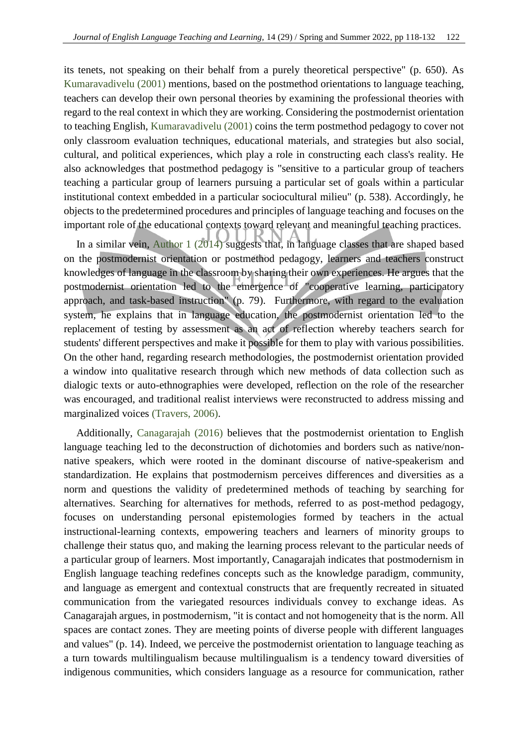its tenets, not speaking on their behalf from a purely theoretical perspective" (p. 650). As [Kumaravadivelu \(2001\)](#page-13-4) mentions, based on the postmethod orientations to language teaching, teachers can develop their own personal theories by examining the professional theories with regard to the real context in which they are working. Considering the postmodernist orientation to teaching English, [Kumaravadivelu \(2001\)](#page-13-4) coins the term postmethod pedagogy to cover not only classroom evaluation techniques, educational materials, and strategies but also social, cultural, and political experiences, which play a role in constructing each class's reality. He also acknowledges that postmethod pedagogy is "sensitive to a particular group of teachers teaching a particular group of learners pursuing a particular set of goals within a particular institutional context embedded in a particular sociocultural milieu" (p. 538). Accordingly, he objects to the predetermined procedures and principles of language teaching and focuses on the important role of the educational contexts toward relevant and meaningful teaching practices.

In a similar vein, Author 1 (2014) suggests that, in language classes that are shaped based on the postmodernist orientation or postmethod pedagogy, learners and teachers construct knowledges of language in the classroom by sharing their own experiences. He argues that the postmodernist orientation led to the emergence of "cooperative learning, participatory approach, and task-based instruction" (p. 79). Furthermore, with regard to the evaluation system, he explains that in language education, the postmodernist orientation led to the replacement of testing by assessment as an act of reflection whereby teachers search for students' different perspectives and make it possible for them to play with various possibilities. On the other hand, regarding research methodologies, the postmodernist orientation provided a window into qualitative research through which new methods of data collection such as dialogic texts or auto-ethnographies were developed, reflection on the role of the researcher was encouraged, and traditional realist interviews were reconstructed to address missing and marginalized voices [\(Travers, 2006\)](#page-13-5).

Additionally, [Canagarajah \(2016\)](#page-12-1) believes that the postmodernist orientation to English language teaching led to the deconstruction of dichotomies and borders such as native/nonnative speakers, which were rooted in the dominant discourse of native-speakerism and standardization. He explains that postmodernism perceives differences and diversities as a norm and questions the validity of predetermined methods of teaching by searching for alternatives. Searching for alternatives for methods, referred to as post-method pedagogy, focuses on understanding personal epistemologies formed by teachers in the actual instructional-learning contexts, empowering teachers and learners of minority groups to challenge their status quo, and making the learning process relevant to the particular needs of a particular group of learners. Most importantly, Canagarajah indicates that postmodernism in English language teaching redefines concepts such as the knowledge paradigm, community, and language as emergent and contextual constructs that are frequently recreated in situated communication from the variegated resources individuals convey to exchange ideas. As Canagarajah argues, in postmodernism, "it is contact and not homogeneity that is the norm. All spaces are contact zones. They are meeting points of diverse people with different languages and values" (p. 14). Indeed, we perceive the postmodernist orientation to language teaching as a turn towards multilingualism because multilingualism is a tendency toward diversities of indigenous communities, which considers language as a resource for communication, rather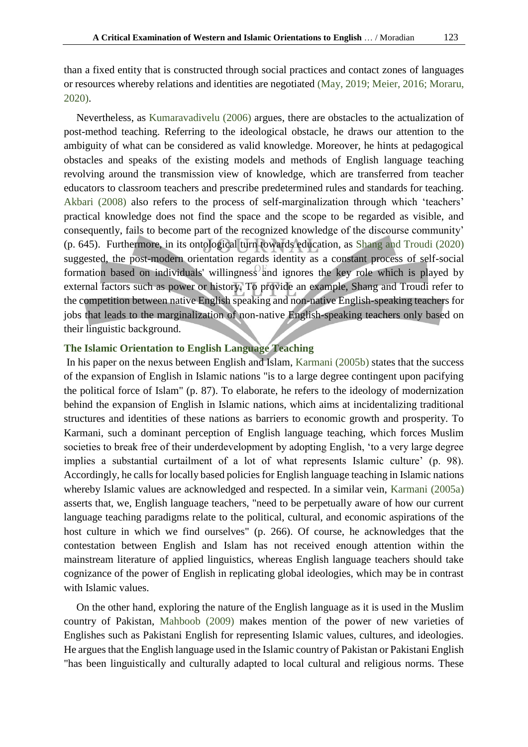than a fixed entity that is constructed through social practices and contact zones of languages or resources whereby relations and identities are negotiated [\(May, 2019;](#page-13-6) [Meier, 2016;](#page-13-7) [Moraru,](#page-13-8)  [2020\)](#page-13-8).

Nevertheless, as [Kumaravadivelu \(2006\)](#page-13-2) argues, there are obstacles to the actualization of post-method teaching. Referring to the ideological obstacle, he draws our attention to the ambiguity of what can be considered as valid knowledge. Moreover, he hints at pedagogical obstacles and speaks of the existing models and methods of English language teaching revolving around the transmission view of knowledge, which are transferred from teacher educators to classroom teachers and prescribe predetermined rules and standards for teaching. [Akbari \(2008\)](#page-12-10) also refers to the process of self-marginalization through which 'teachers' practical knowledge does not find the space and the scope to be regarded as visible, and consequently, fails to become part of the recognized knowledge of the discourse community' (p. 645). Furthermore, in its ontological turn towards education, as [Shang and Troudi \(2020\)](#page-13-9) suggested, the post-modern orientation regards identity as a constant process of self-social formation based on individuals' willingness and ignores the key role which is played by external factors such as power or history. To provide an example, Shang and Troudi refer to the competition between native English speaking and non-native English-speaking teachers for jobs that leads to the marginalization of non-native English-speaking teachers only based on their linguistic background.

# **The Islamic Orientation to English Language Teaching**

In his paper on the nexus between English and Islam, [Karmani \(2005b\)](#page-13-10) states that the success of the expansion of English in Islamic nations "is to a large degree contingent upon pacifying the political force of Islam" (p. 87). To elaborate, he refers to the ideology of modernization behind the expansion of English in Islamic nations, which aims at incidentalizing traditional structures and identities of these nations as barriers to economic growth and prosperity. To Karmani, such a dominant perception of English language teaching, which forces Muslim societies to break free of their underdevelopment by adopting English, 'to a very large degree implies a substantial curtailment of a lot of what represents Islamic culture' (p. 98). Accordingly, he calls for locally based policies for English language teaching in Islamic nations whereby Islamic values are acknowledged and respected. In a similar vein, [Karmani \(2005a\)](#page-12-11) asserts that, we, English language teachers, "need to be perpetually aware of how our current language teaching paradigms relate to the political, cultural, and economic aspirations of the host culture in which we find ourselves" (p. 266). Of course, he acknowledges that the contestation between English and Islam has not received enough attention within the mainstream literature of applied linguistics, whereas English language teachers should take cognizance of the power of English in replicating global ideologies, which may be in contrast with Islamic values.

On the other hand, exploring the nature of the English language as it is used in the Muslim country of Pakistan, [Mahboob \(2009\)](#page-13-11) makes mention of the power of new varieties of Englishes such as Pakistani English for representing Islamic values, cultures, and ideologies. He argues that the English language used in the Islamic country of Pakistan or Pakistani English "has been linguistically and culturally adapted to local cultural and religious norms. These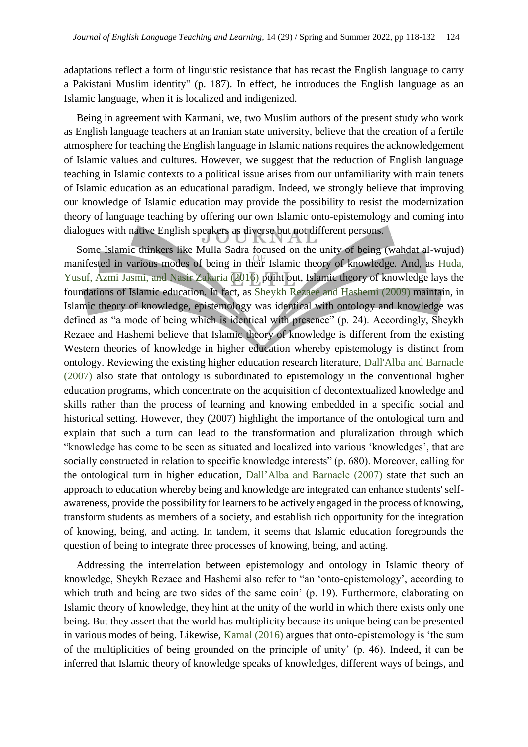adaptations reflect a form of linguistic resistance that has recast the English language to carry a Pakistani Muslim identity" (p. 187). In effect, he introduces the English language as an Islamic language, when it is localized and indigenized.

Being in agreement with Karmani, we, two Muslim authors of the present study who work as English language teachers at an Iranian state university, believe that the creation of a fertile atmosphere for teaching the English language in Islamic nations requires the acknowledgement of Islamic values and cultures. However, we suggest that the reduction of English language teaching in Islamic contexts to a political issue arises from our unfamiliarity with main tenets of Islamic education as an educational paradigm. Indeed, we strongly believe that improving our knowledge of Islamic education may provide the possibility to resist the modernization theory of language teaching by offering our own Islamic onto-epistemology and coming into dialogues with native English speakers as diverse but not different persons.

Some Islamic thinkers like Mulla Sadra focused on the unity of being (wahdat al-wujud) manifested in various modes of being in their Islamic theory of knowledge. And, as [Huda,](#page-12-12)  [Yusuf, Azmi Jasmi, and Nasir Zakaria \(2016\)](#page-12-12) point out, Islamic theory of knowledge lays the foundations of Islamic education. In fact, as [Sheykh Rezaee and Hashemi \(2009\)](#page-13-12) maintain, in Islamic theory of knowledge, epistemology was identical with ontology and knowledge was defined as "a mode of being which is identical with presence" (p. 24). Accordingly, Sheykh Rezaee and Hashemi believe that Islamic theory of knowledge is different from the existing Western theories of knowledge in higher education whereby epistemology is distinct from ontology. Reviewing the existing higher education research literature, [Dall'Alba and Barnacle](#page-12-13)  [\(2007\)](#page-12-13) also state that ontology is subordinated to epistemology in the conventional higher education programs, which concentrate on the acquisition of decontextualized knowledge and skills rather than the process of learning and knowing embedded in a specific social and historical setting. However, they (2007) highlight the importance of the ontological turn and explain that such a turn can lead to the transformation and pluralization through which "knowledge has come to be seen as situated and localized into various 'knowledges', that are socially constructed in relation to specific knowledge interests" (p. 680). Moreover, calling for the ontological turn in higher education, [Dall'Alba and Barnacle \(2007\)](#page-12-13) state that such an approach to education whereby being and knowledge are integrated can enhance students' selfawareness, provide the possibility for learners to be actively engaged in the process of knowing, transform students as members of a society, and establish rich opportunity for the integration of knowing, being, and acting. In tandem, it seems that Islamic education foregrounds the question of being to integrate three processes of knowing, being, and acting.

Addressing the interrelation between epistemology and ontology in Islamic theory of knowledge, Sheykh Rezaee and Hashemi also refer to "an 'onto-epistemology', according to which truth and being are two sides of the same coin' (p. 19). Furthermore, elaborating on Islamic theory of knowledge, they hint at the unity of the world in which there exists only one being. But they assert that the world has multiplicity because its unique being can be presented in various modes of being. Likewise, [Kamal \(2016\)](#page-12-14) argues that onto-epistemology is 'the sum of the multiplicities of being grounded on the principle of unity' (p. 46). Indeed, it can be inferred that Islamic theory of knowledge speaks of knowledges, different ways of beings, and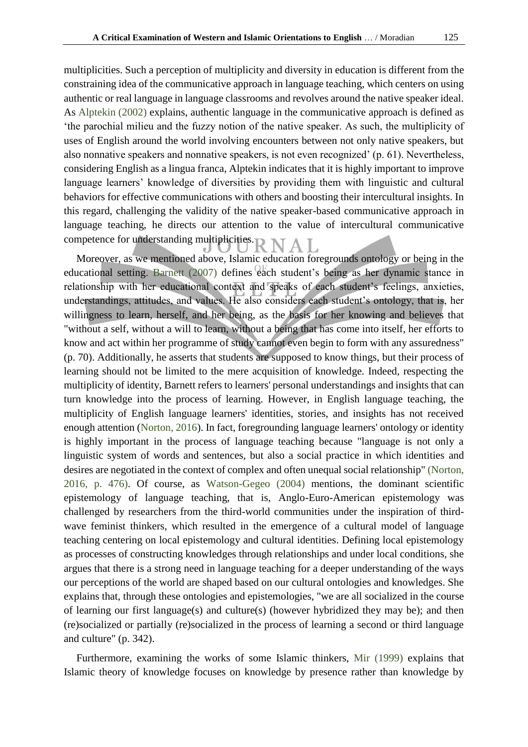multiplicities. Such a perception of multiplicity and diversity in education is different from the constraining idea of the communicative approach in language teaching, which centers on using authentic or real language in language classrooms and revolves around the native speaker ideal. As [Alptekin \(2002\)](#page-12-15) explains, authentic language in the communicative approach is defined as 'the parochial milieu and the fuzzy notion of the native speaker. As such, the multiplicity of uses of English around the world involving encounters between not only native speakers, but also nonnative speakers and nonnative speakers, is not even recognized' (p. 61). Nevertheless, considering English as a lingua franca, Alptekin indicates that it is highly important to improve language learners' knowledge of diversities by providing them with linguistic and cultural behaviors for effective communications with others and boosting their intercultural insights. In this regard, challenging the validity of the native speaker-based communicative approach in language teaching, he directs our attention to the value of intercultural communicative competence for understanding multiplicities.

Moreover, as we mentioned above, Islamic education foregrounds ontology or being in the educational setting. [Barnett \(2007\)](#page-12-16) defines each student's being as her dynamic stance in relationship with her educational context and speaks of each student's feelings, anxieties, understandings, attitudes, and values. He also considers each student's ontology, that is, her willingness to learn, herself, and her being, as the basis for her knowing and believes that "without a self, without a will to learn, without a being that has come into itself, her efforts to know and act within her programme of study cannot even begin to form with any assuredness" (p. 70). Additionally, he asserts that students are supposed to know things, but their process of learning should not be limited to the mere acquisition of knowledge. Indeed, respecting the multiplicity of identity, Barnett refers to learners' personal understandings and insights that can turn knowledge into the process of learning. However, in English language teaching, the multiplicity of English language learners' identities, stories, and insights has not received enough attention [\(Norton, 2016\)](#page-13-13). In fact, foregrounding language learners' ontology or identity is highly important in the process of language teaching because "language is not only a linguistic system of words and sentences, but also a social practice in which identities and desires are negotiated in the context of complex and often unequal social relationship" [\(Norton,](#page-13-13)  [2016, p. 476\)](#page-13-13). Of course, as [Watson-Gegeo \(2004\)](#page-14-1) mentions, the dominant scientific epistemology of language teaching, that is, Anglo-Euro-American epistemology was challenged by researchers from the third-world communities under the inspiration of thirdwave feminist thinkers, which resulted in the emergence of a cultural model of language teaching centering on local epistemology and cultural identities. Defining local epistemology as processes of constructing knowledges through relationships and under local conditions, she argues that there is a strong need in language teaching for a deeper understanding of the ways our perceptions of the world are shaped based on our cultural ontologies and knowledges. She explains that, through these ontologies and epistemologies, "we are all socialized in the course of learning our first language(s) and culture(s) (however hybridized they may be); and then (re)socialized or partially (re)socialized in the process of learning a second or third language and culture" (p. 342).

Furthermore, examining the works of some Islamic thinkers, [Mir \(1999\)](#page-13-14) explains that Islamic theory of knowledge focuses on knowledge by presence rather than knowledge by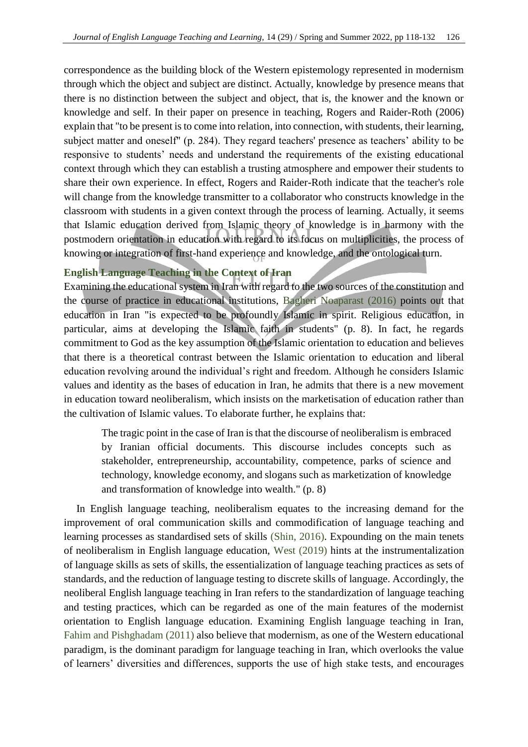correspondence as the building block of the Western epistemology represented in modernism through which the object and subject are distinct. Actually, knowledge by presence means that there is no distinction between the subject and object, that is, the knower and the known or knowledge and self. In their paper on presence in teaching, Rogers and Raider-Roth (2006) explain that "to be present is to come into relation, into connection, with students, their learning, subject matter and oneself" (p. 284). They regard teachers' presence as teachers' ability to be responsive to students' needs and understand the requirements of the existing educational context through which they can establish a trusting atmosphere and empower their students to share their own experience. In effect, Rogers and Raider-Roth indicate that the teacher's role will change from the knowledge transmitter to a collaborator who constructs knowledge in the classroom with students in a given context through the process of learning. Actually, it seems that Islamic education derived from Islamic theory of knowledge is in harmony with the postmodern orientation in education with regard to its focus on multiplicities, the process of knowing or integration of first-hand experience and knowledge, and the ontological turn.

# **English Language Teaching in the Context of Iran**

Examining the educational system in Iran with regard to the two sources of the constitution and the course of practice in educational institutions, [Bagheri Noaparast \(2016\)](#page-12-17) points out that education in Iran "is expected to be profoundly Islamic in spirit. Religious education, in particular, aims at developing the Islamic faith in students" (p. 8). In fact, he regards commitment to God as the key assumption of the Islamic orientation to education and believes that there is a theoretical contrast between the Islamic orientation to education and liberal education revolving around the individual's right and freedom. Although he considers Islamic values and identity as the bases of education in Iran, he admits that there is a new movement in education toward neoliberalism, which insists on the marketisation of education rather than the cultivation of Islamic values. To elaborate further, he explains that:

The tragic point in the case of Iran is that the discourse of neoliberalism is embraced by Iranian official documents. This discourse includes concepts such as stakeholder, entrepreneurship, accountability, competence, parks of science and technology, knowledge economy, and slogans such as marketization of knowledge and transformation of knowledge into wealth." (p. 8)

In English language teaching, neoliberalism equates to the increasing demand for the improvement of oral communication skills and commodification of language teaching and learning processes as standardised sets of skills [\(Shin, 2016\)](#page-13-15). Expounding on the main tenets of neoliberalism in English language education, [West \(2019\)](#page-14-2) hints at the instrumentalization of language skills as sets of skills, the essentialization of language teaching practices as sets of standards, and the reduction of language testing to discrete skills of language. Accordingly, the neoliberal English language teaching in Iran refers to the standardization of language teaching and testing practices, which can be regarded as one of the main features of the modernist orientation to English language education. Examining English language teaching in Iran, [Fahim and Pishghadam \(2011\)](#page-12-18) also believe that modernism, as one of the Western educational paradigm, is the dominant paradigm for language teaching in Iran, which overlooks the value of learners' diversities and differences, supports the use of high stake tests, and encourages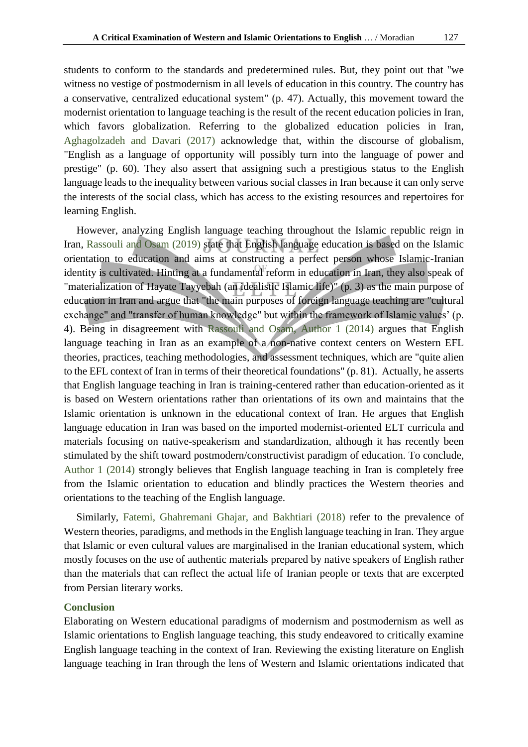students to conform to the standards and predetermined rules. But, they point out that "we witness no vestige of postmodernism in all levels of education in this country. The country has a conservative, centralized educational system" (p. 47). Actually, this movement toward the modernist orientation to language teaching is the result of the recent education policies in Iran, which favors globalization. Referring to the globalized education policies in Iran, [Aghagolzadeh and Davari \(2017\)](#page-12-19) acknowledge that, within the discourse of globalism, "English as a language of opportunity will possibly turn into the language of power and prestige" (p. 60). They also assert that assigning such a prestigious status to the English language leads to the inequality between various social classes in Iran because it can only serve the interests of the social class, which has access to the existing resources and repertoires for learning English.

However, analyzing English language teaching throughout the Islamic republic reign in Iran, [Rassouli and Osam \(2019\)](#page-13-16) state that English language education is based on the Islamic orientation to education and aims at constructing a perfect person whose Islamic-Iranian identity is cultivated. Hinting at a fundamental reform in education in Iran, they also speak of "materialization of Hayate Tayyebah (an idealistic Islamic life)" (p. 3) as the main purpose of education in Iran and argue that "the main purposes of foreign language teaching are "cultural exchange" and "transfer of human knowledge" but within the framework of Islamic values' (p. 4). Being in disagreement with [Rassouli and Osam, Author 1 \(2014\)](#page-13-16) argues that English language teaching in Iran as an example of a non-native context centers on Western EFL theories, practices, teaching methodologies, and assessment techniques, which are "quite alien to the EFL context of Iran in terms of their theoretical foundations" (p. 81). Actually, he asserts that English language teaching in Iran is training-centered rather than education-oriented as it is based on Western orientations rather than orientations of its own and maintains that the Islamic orientation is unknown in the educational context of Iran. He argues that English language education in Iran was based on the imported modernist-oriented ELT curricula and materials focusing on native-speakerism and standardization, although it has recently been stimulated by the shift toward postmodern/constructivist paradigm of education. To conclude, Author 1 (2014) strongly believes that English language teaching in Iran is completely free from the Islamic orientation to education and blindly practices the Western theories and orientations to the teaching of the English language.

Similarly, [Fatemi, Ghahremani Ghajar, and Bakhtiari \(2018\)](#page-12-20) refer to the prevalence of Western theories, paradigms, and methods in the English language teaching in Iran. They argue that Islamic or even cultural values are marginalised in the Iranian educational system, which mostly focuses on the use of authentic materials prepared by native speakers of English rather than the materials that can reflect the actual life of Iranian people or texts that are excerpted from Persian literary works.

## **Conclusion**

Elaborating on Western educational paradigms of modernism and postmodernism as well as Islamic orientations to English language teaching, this study endeavored to critically examine English language teaching in the context of Iran. Reviewing the existing literature on English language teaching in Iran through the lens of Western and Islamic orientations indicated that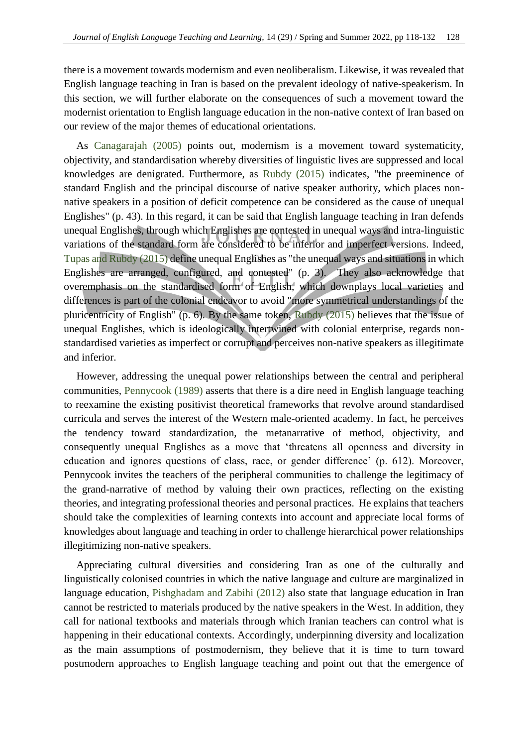there is a movement towards modernism and even neoliberalism. Likewise, it was revealed that English language teaching in Iran is based on the prevalent ideology of native-speakerism. In this section, we will further elaborate on the consequences of such a movement toward the modernist orientation to English language education in the non-native context of Iran based on our review of the major themes of educational orientations.

As [Canagarajah \(2005\)](#page-12-3) points out, modernism is a movement toward systematicity, objectivity, and standardisation whereby diversities of linguistic lives are suppressed and local knowledges are denigrated. Furthermore, as [Rubdy \(2015\)](#page-13-17) indicates, "the preeminence of standard English and the principal discourse of native speaker authority, which places nonnative speakers in a position of deficit competence can be considered as the cause of unequal Englishes" (p. 43). In this regard, it can be said that English language teaching in Iran defends unequal Englishes, through which Englishes are contested in unequal ways and intra-linguistic variations of the standard form are considered to be inferior and imperfect versions. Indeed, [Tupas and Rubdy \(2015\)](#page-13-18) define unequal Englishes as "the unequal ways and situations in which Englishes are arranged, configured, and contested" (p. 3). They also acknowledge that overemphasis on the standardised form of English, which downplays local varieties and differences is part of the colonial endeavor to avoid "more symmetrical understandings of the pluricentricity of English" (p. 6). By the same token, [Rubdy \(2015\)](#page-13-17) believes that the issue of unequal Englishes, which is ideologically intertwined with colonial enterprise, regards nonstandardised varieties as imperfect or corrupt and perceives non-native speakers as illegitimate and inferior.

However, addressing the unequal power relationships between the central and peripheral communities*,* [Pennycook \(1989\)](#page-13-19) asserts that there is a dire need in English language teaching to reexamine the existing positivist theoretical frameworks that revolve around standardised curricula and serves the interest of the Western male-oriented academy. In fact, he perceives the tendency toward standardization, the metanarrative of method, objectivity, and consequently unequal Englishes as a move that 'threatens all openness and diversity in education and ignores questions of class, race, or gender difference' (p. 612). Moreover, Pennycook invites the teachers of the peripheral communities to challenge the legitimacy of the grand-narrative of method by valuing their own practices, reflecting on the existing theories, and integrating professional theories and personal practices. He explains that teachers should take the complexities of learning contexts into account and appreciate local forms of knowledges about language and teaching in order to challenge hierarchical power relationships illegitimizing non-native speakers.

Appreciating cultural diversities and considering Iran as one of the culturally and linguistically colonised countries in which the native language and culture are marginalized in language education, [Pishghadam and Zabihi \(2012\)](#page-13-20) also state that language education in Iran cannot be restricted to materials produced by the native speakers in the West. In addition, they call for national textbooks and materials through which Iranian teachers can control what is happening in their educational contexts. Accordingly, underpinning diversity and localization as the main assumptions of postmodernism, they believe that it is time to turn toward postmodern approaches to English language teaching and point out that the emergence of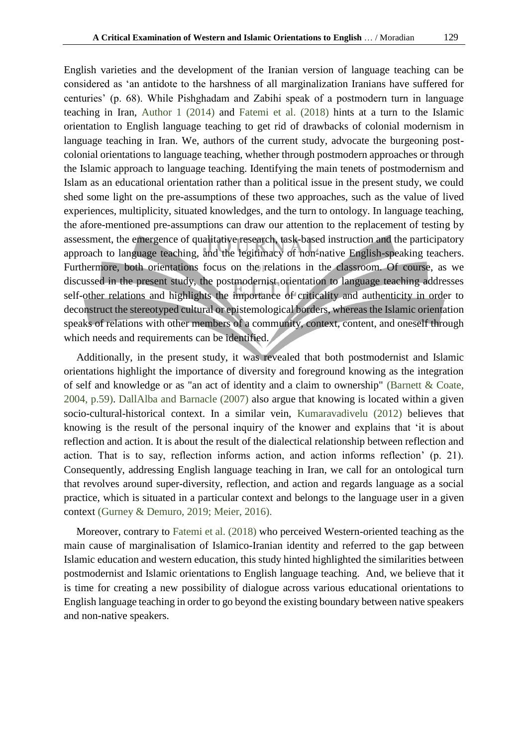English varieties and the development of the Iranian version of language teaching can be considered as 'an antidote to the harshness of all marginalization Iranians have suffered for centuries' (p. 68). While Pishghadam and Zabihi speak of a postmodern turn in language teaching in Iran, Author 1 (2014) and [Fatemi et al. \(2018\)](#page-12-20) hints at a turn to the Islamic orientation to English language teaching to get rid of drawbacks of colonial modernism in language teaching in Iran. We, authors of the current study, advocate the burgeoning postcolonial orientations to language teaching, whether through postmodern approaches or through the Islamic approach to language teaching. Identifying the main tenets of postmodernism and Islam as an educational orientation rather than a political issue in the present study, we could shed some light on the pre-assumptions of these two approaches, such as the value of lived experiences, multiplicity, situated knowledges, and the turn to ontology. In language teaching, the afore-mentioned pre-assumptions can draw our attention to the replacement of testing by assessment, the emergence of qualitative research, task-based instruction and the participatory approach to language teaching, and the legitimacy of non-native English-speaking teachers. Furthermore, both orientations focus on the relations in the classroom. Of course, as we discussed in the present study, the postmodernist orientation to language teaching addresses self-other relations and highlights the importance of criticality and authenticity in order to deconstruct the stereotyped cultural or epistemological borders, whereas the Islamic orientation speaks of relations with other members of a community, context, content, and oneself through which needs and requirements can be identified.

Additionally, in the present study, it was revealed that both postmodernist and Islamic orientations highlight the importance of diversity and foreground knowing as the integration of self and knowledge or as "an act of identity and a claim to ownership" [\(Barnett & Coate,](#page-12-9)  [2004, p.59\)](#page-12-9). [DallAlba and Barnacle \(2007\)](#page-12-13) also argue that knowing is located within a given socio-cultural-historical context. In a similar vein, [Kumaravadivelu \(2012\)](#page-13-21) believes that knowing is the result of the personal inquiry of the knower and explains that 'it is about reflection and action. It is about the result of the dialectical relationship between reflection and action. That is to say, reflection informs action, and action informs reflection' (p. 21). Consequently, addressing English language teaching in Iran, we call for an ontological turn that revolves around super-diversity, reflection, and action and regards language as a social practice, which is situated in a particular context and belongs to the language user in a given context [\(Gurney & Demuro, 2019;](#page-12-21) [Meier, 2016\)](#page-13-7).

Moreover, contrary to [Fatemi et al. \(2018\)](#page-12-20) who perceived Western-oriented teaching as the main cause of marginalisation of Islamico-Iranian identity and referred to the gap between Islamic education and western education, this study hinted highlighted the similarities between postmodernist and Islamic orientations to English language teaching. And, we believe that it is time for creating a new possibility of dialogue across various educational orientations to English language teaching in order to go beyond the existing boundary between native speakers and non-native speakers.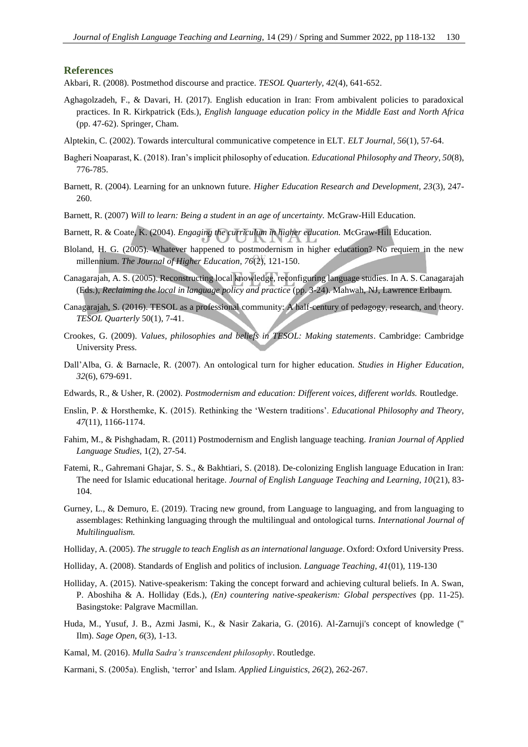### **References**

- <span id="page-12-10"></span>Akbari, R. (2008). Postmethod discourse and practice. *TESOL Quarterly, 42*(4), 641-652.
- <span id="page-12-19"></span>Aghagolzadeh, F., & Davari, H. (2017). English education in Iran: From ambivalent policies to paradoxical practices. In R. Kirkpatrick (Eds.), *English language education policy in the Middle East and North Africa* (pp. 47-62). Springer, Cham.
- <span id="page-12-15"></span>Alptekin, C. (2002). Towards intercultural communicative competence in ELT. *ELT Journal, 56*(1), 57-64.
- <span id="page-12-17"></span>Bagheri Noaparast, K. (2018). Iran's implicit philosophy of education. *Educational Philosophy and Theory, 50*(8), 776-785.
- <span id="page-12-9"></span>Barnett, R. (2004). Learning for an unknown future. *Higher Education Research and Development, 23*(3), 247- 260.
- <span id="page-12-16"></span>Barnett, R. (2007) *Will to learn: Being a student in an age of uncertainty.* McGraw-Hill Education.
- Barnett, R. & Coate, K. (2004). *Engaging the curriculum in higher education.* McGraw-Hill Education.
- <span id="page-12-7"></span>Bloland, H. G. (2005). Whatever happened to postmodernism in higher education? No requiem in the new millennium. *The Journal of Higher Education, 76*(2), 121-150.
- <span id="page-12-3"></span>Canagarajah, A. S. (2005). Reconstructing local knowledge, reconfiguring language studies. In A. S. Canagarajah (Eds.), *Reclaiming the local in language policy and practice* (pp. 3-24). Mahwah, NJ, Lawrence Erlbaum.
- <span id="page-12-1"></span>Canagarajah, S. (2016). TESOL as a professional community: A half-century of pedagogy, research, and theory. *TESOL Quarterly* 50(1), 7-41.
- <span id="page-12-2"></span>Crookes, G. (2009). *Values, philosophies and beliefs in TESOL: Making statements*. Cambridge: Cambridge University Press.
- <span id="page-12-13"></span>Dall'Alba, G. & Barnacle, R. (2007). An ontological turn for higher education. *Studies in Higher Education, 32*(6), 679-691.
- <span id="page-12-8"></span>Edwards, R., & Usher, R. (2002). *Postmodernism and education: Different voices, different worlds.* Routledge.
- <span id="page-12-0"></span>Enslin, P. & Horsthemke, K. (2015). Rethinking the 'Western traditions'. *Educational Philosophy and Theory, 47*(11), 1166-1174.
- <span id="page-12-18"></span>Fahim, M., & Pishghadam, R. (2011) Postmodernism and English language teaching. *Iranian Journal of Applied Language Studies,* 1(2), 27-54.
- <span id="page-12-20"></span>Fatemi, R., Gahremani Ghajar, S. S., & Bakhtiari, S. (2018). De-colonizing English language Education in Iran: The need for Islamic educational heritage. *Journal of English Language Teaching and Learning, 10*(21), 83- 104.
- <span id="page-12-21"></span>Gurney, L., & Demuro, E. (2019). Tracing new ground, from Language to languaging, and from languaging to assemblages: Rethinking languaging through the multilingual and ontological turns. *International Journal of Multilingualism.*
- <span id="page-12-4"></span>Holliday, A. (2005). *The struggle to teach English as an international language*. Oxford: Oxford University Press.
- <span id="page-12-6"></span>Holliday, A. (2008). Standards of English and politics of inclusion. *Language Teaching, 41*(01), 119-130
- <span id="page-12-5"></span>Holliday, A. (2015). Native-speakerism: Taking the concept forward and achieving cultural beliefs. In A. Swan, P. Aboshiha & A. Holliday (Eds.), *(En) countering native-speakerism: Global perspectives* (pp. 11-25). Basingstoke: Palgrave Macmillan.
- <span id="page-12-12"></span>Huda, M., Yusuf, J. B., Azmi Jasmi, K., & Nasir Zakaria, G. (2016). Al-Zarnuji's concept of knowledge (" Ilm). *Sage Open*, *6*(3), 1-13.
- <span id="page-12-14"></span>Kamal, M. (2016). *Mulla Sadra's transcendent philosophy*. Routledge.
- <span id="page-12-11"></span>Karmani, S. (2005a). English, 'terror' and Islam. *Applied Linguistics, 26*(2), 262-267.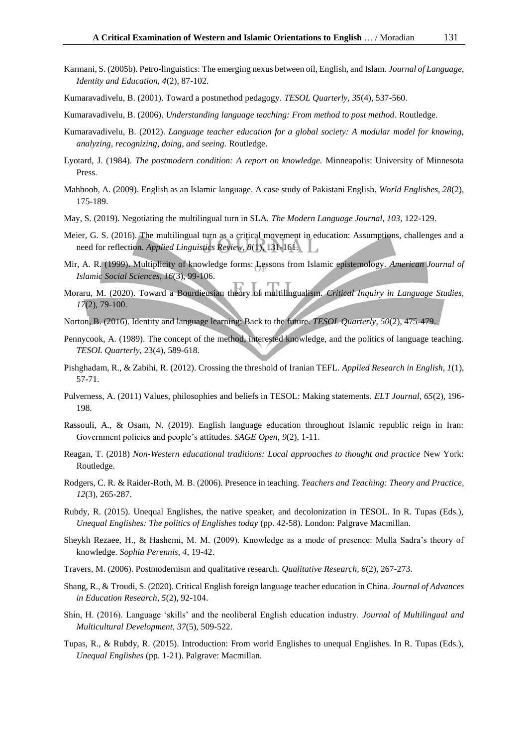<span id="page-13-10"></span><span id="page-13-4"></span>Kumaravadivelu, B. (2001). Toward a postmethod pedagogy. *TESOL Quarterly, 35*(4), 537-560.

- <span id="page-13-2"></span>Kumaravadivelu, B. (2006). *Understanding language teaching: From method to post method*. Routledge.
- <span id="page-13-21"></span>Kumaravadivelu, B. (2012). *Language teacher education for a global society: A modular model for knowing, analyzing, recognizing, doing, and seeing.* Routledge.
- <span id="page-13-3"></span>Lyotard, J. (1984). *The postmodern condition: A report on knowledge.* Minneapolis: University of Minnesota Press.
- <span id="page-13-11"></span>Mahboob, A. (2009). English as an Islamic language. A case study of Pakistani English. *World Englishes, 28*(2), 175-189.
- <span id="page-13-6"></span>May, S. (2019). Negotiating the multilingual turn in SLA. *The Modern Language Journal, 103*, 122-129.
- <span id="page-13-7"></span>Meier, G. S. (2016). The multilingual turn as a critical movement in education: Assumptions, challenges and a need for reflection. *Applied Linguistics Review, 8*(1), 131-161.
- <span id="page-13-14"></span>Mir, A. R. (1999). Multiplicity of knowledge forms: Lessons from Islamic epistemology. *American Journal of Islamic Social Sciences, 16*(3), 99-106.
- <span id="page-13-8"></span>Moraru, M. (2020). Toward a Bourdieusian theory of multilingualism. *Critical Inquiry in Language Studies, 17*(2), 79-100.
- <span id="page-13-13"></span>Norton, B. (2016). Identity and language learning: Back to the future. *TESOL Quarterly, 50*(2), 475-479.
- <span id="page-13-19"></span>Pennycook, A. (1989). The concept of the method, interested knowledge, and the politics of language teaching. *TESOL Quarterly,* 23(4), 589-618.
- <span id="page-13-20"></span>Pishghadam, R., & Zabihi, R. (2012). Crossing the threshold of Iranian TEFL. *Applied Research in English, 1*(1), 57-71.
- <span id="page-13-1"></span>Pulverness, A. (2011) Values, philosophies and beliefs in TESOL: Making statements. *ELT Journal, 65*(2), 196- 198.
- <span id="page-13-16"></span>Rassouli, A., & Osam, N. (2019). English language education throughout Islamic republic reign in Iran: Government policies and people's attitudes. *SAGE Open, 9*(2), 1-11.
- <span id="page-13-0"></span>Reagan, T. (2018) *Non-Western educational traditions: Local approaches to thought and practice* New York: Routledge.
- Rodgers, C. R. & Raider-Roth, M. B. (2006). Presence in teaching. *Teachers and Teaching: Theory and Practice, 12*(3), 265-287.
- <span id="page-13-17"></span>Rubdy, R. (2015). Unequal Englishes, the native speaker, and decolonization in TESOL. In R. Tupas (Eds.), *Unequal Englishes: The politics of Englishes today* (pp. 42-58). London: Palgrave Macmillan.
- <span id="page-13-12"></span>Sheykh Rezaee, H., & Hashemi, M. M. (2009). Knowledge as a mode of presence: Mulla Sadra's theory of knowledge. *Sophia Perennis, 4*, 19-42.
- <span id="page-13-5"></span>Travers, M. (2006). Postmodernism and qualitative research. *Qualitative Research, 6*(2), 267-273.
- <span id="page-13-9"></span>Shang, R., & Troudi, S. (2020). Critical English foreign language teacher education in China. *Journal of Advances in Education Research, 5*(2), 92-104.
- <span id="page-13-15"></span>Shin, H. (2016). Language 'skills' and the neoliberal English education industry. *Journal of Multilingual and Multicultural Development*, *37*(5), 509-522.
- <span id="page-13-18"></span>Tupas, R., & Rubdy, R. (2015). Introduction: From world Englishes to unequal Englishes. In R. Tupas (Eds.), *Unequal Englishes* (pp. 1-21). Palgrave: Macmillan.